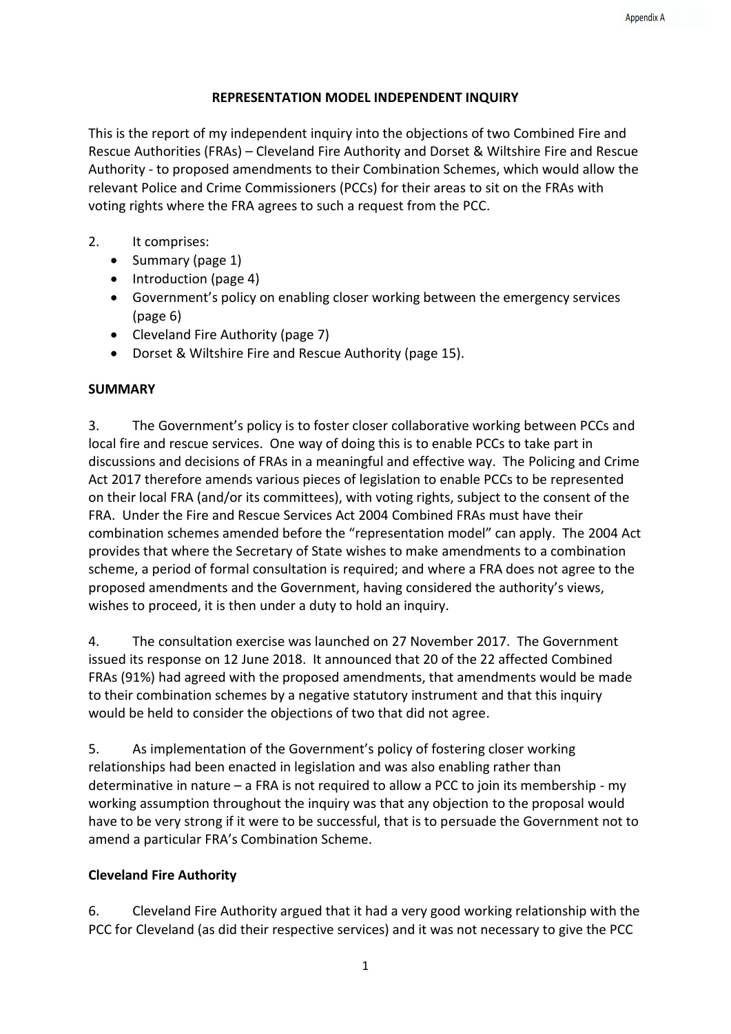### **REPRESENTATION MODEL INDEPENDENT INQUIRY**

This is the report of my independent inquiry into the objections of two Combined Fire and Rescue Authorities (FRAs) – Cleveland Fire Authority and Dorset & Wiltshire Fire and Rescue Authority - to proposed amendments to their Combination Schemes, which would allow the relevant Police and Crime Commissioners (PCCs) for their areas to sit on the FRAs with voting rights where the FRA agrees to such a request from the PCC.

### 2. It comprises:

- Summary (page 1)
- Introduction (page 4)
- Government's policy on enabling closer working between the emergency services (page 6)
- Cleveland Fire Authority (page 7)
- Dorset & Wiltshire Fire and Rescue Authority (page 15).

## **SUMMARY**

3. The Government's policy is to foster closer collaborative working between PCCs and local fire and rescue services. One way of doing this is to enable PCCs to take part in discussions and decisions of FRAs in a meaningful and effective way. The Policing and Crime Act 2017 therefore amends various pieces of legislation to enable PCCs to be represented on their local FRA (and/or its committees), with voting rights, subject to the consent of the FRA. Under the Fire and Rescue Services Act 2004 Combined FRAs must have their combination schemes amended before the "representation model" can apply. The 2004 Act provides that where the Secretary of State wishes to make amendments to a combination scheme, a period of formal consultation is required; and where a FRA does not agree to the proposed amendments and the Government, having considered the authority's views, wishes to proceed, it is then under a duty to hold an inquiry.

4. The consultation exercise was launched on 27 November 2017. The Government issued its response on 12 June 2018. It announced that 20 of the 22 affected Combined FRAs (91%) had agreed with the proposed amendments, that amendments would be made to their combination schemes by a negative statutory instrument and that this inquiry would be held to consider the objections of two that did not agree.

5. As implementation of the Government's policy of fostering closer working relationships had been enacted in legislation and was also enabling rather than determinative in nature – a FRA is not required to allow a PCC to join its membership - my working assumption throughout the inquiry was that any objection to the proposal would have to be very strong if it were to be successful, that is to persuade the Government not to amend a particular FRA's Combination Scheme.

## **Cleveland Fire Authority**

6. Cleveland Fire Authority argued that it had a very good working relationship with the PCC for Cleveland (as did their respective services) and it was not necessary to give the PCC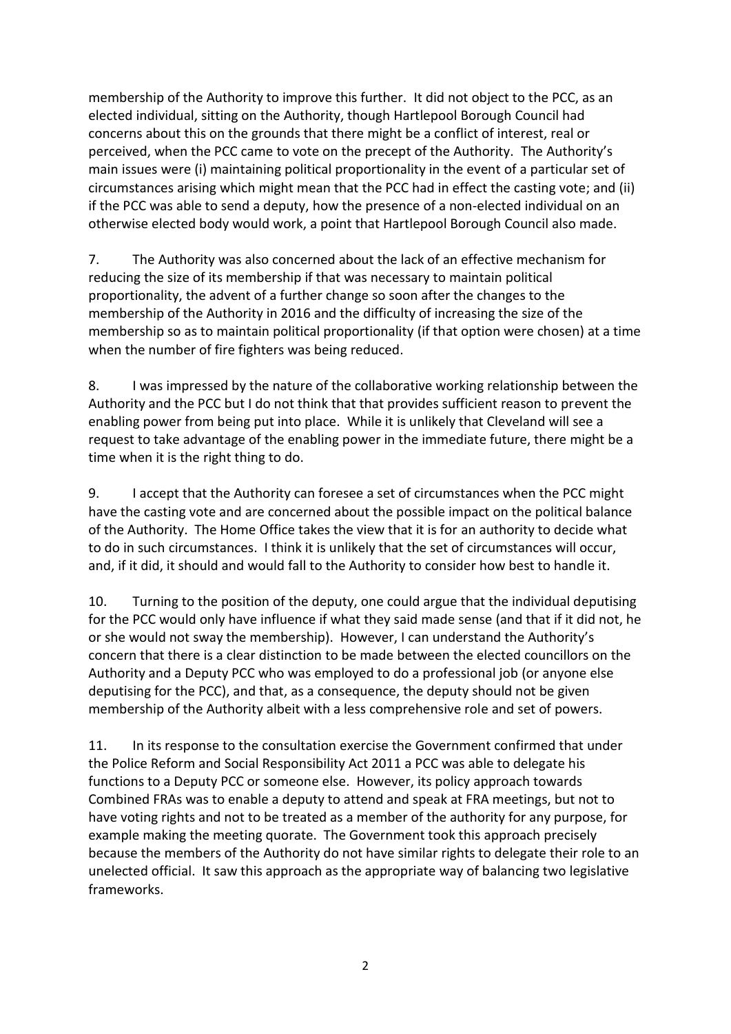membership of the Authority to improve this further. It did not object to the PCC, as an elected individual, sitting on the Authority, though Hartlepool Borough Council had concerns about this on the grounds that there might be a conflict of interest, real or perceived, when the PCC came to vote on the precept of the Authority. The Authority's main issues were (i) maintaining political proportionality in the event of a particular set of circumstances arising which might mean that the PCC had in effect the casting vote; and (ii) if the PCC was able to send a deputy, how the presence of a non-elected individual on an otherwise elected body would work, a point that Hartlepool Borough Council also made.

7. The Authority was also concerned about the lack of an effective mechanism for reducing the size of its membership if that was necessary to maintain political proportionality, the advent of a further change so soon after the changes to the membership of the Authority in 2016 and the difficulty of increasing the size of the membership so as to maintain political proportionality (if that option were chosen) at a time when the number of fire fighters was being reduced.

8. I was impressed by the nature of the collaborative working relationship between the Authority and the PCC but I do not think that that provides sufficient reason to prevent the enabling power from being put into place. While it is unlikely that Cleveland will see a request to take advantage of the enabling power in the immediate future, there might be a time when it is the right thing to do.

9. I accept that the Authority can foresee a set of circumstances when the PCC might have the casting vote and are concerned about the possible impact on the political balance of the Authority. The Home Office takes the view that it is for an authority to decide what to do in such circumstances. I think it is unlikely that the set of circumstances will occur, and, if it did, it should and would fall to the Authority to consider how best to handle it.

10. Turning to the position of the deputy, one could argue that the individual deputising for the PCC would only have influence if what they said made sense (and that if it did not, he or she would not sway the membership). However, I can understand the Authority's concern that there is a clear distinction to be made between the elected councillors on the Authority and a Deputy PCC who was employed to do a professional job (or anyone else deputising for the PCC), and that, as a consequence, the deputy should not be given membership of the Authority albeit with a less comprehensive role and set of powers.

11. In its response to the consultation exercise the Government confirmed that under the Police Reform and Social Responsibility Act 2011 a PCC was able to delegate his functions to a Deputy PCC or someone else. However, its policy approach towards Combined FRAs was to enable a deputy to attend and speak at FRA meetings, but not to have voting rights and not to be treated as a member of the authority for any purpose, for example making the meeting quorate. The Government took this approach precisely because the members of the Authority do not have similar rights to delegate their role to an unelected official. It saw this approach as the appropriate way of balancing two legislative frameworks.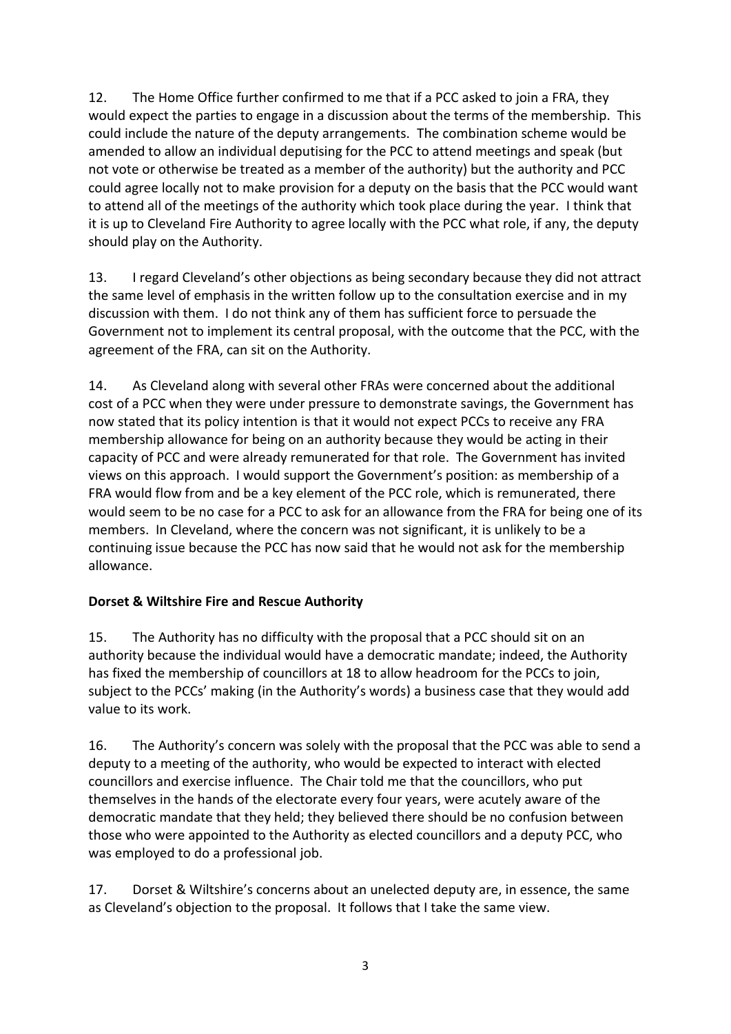12. The Home Office further confirmed to me that if a PCC asked to join a FRA, they would expect the parties to engage in a discussion about the terms of the membership. This could include the nature of the deputy arrangements. The combination scheme would be amended to allow an individual deputising for the PCC to attend meetings and speak (but not vote or otherwise be treated as a member of the authority) but the authority and PCC could agree locally not to make provision for a deputy on the basis that the PCC would want to attend all of the meetings of the authority which took place during the year. I think that it is up to Cleveland Fire Authority to agree locally with the PCC what role, if any, the deputy should play on the Authority.

13. I regard Cleveland's other objections as being secondary because they did not attract the same level of emphasis in the written follow up to the consultation exercise and in my discussion with them. I do not think any of them has sufficient force to persuade the Government not to implement its central proposal, with the outcome that the PCC, with the agreement of the FRA, can sit on the Authority.

14. As Cleveland along with several other FRAs were concerned about the additional cost of a PCC when they were under pressure to demonstrate savings, the Government has now stated that its policy intention is that it would not expect PCCs to receive any FRA membership allowance for being on an authority because they would be acting in their capacity of PCC and were already remunerated for that role. The Government has invited views on this approach. I would support the Government's position: as membership of a FRA would flow from and be a key element of the PCC role, which is remunerated, there would seem to be no case for a PCC to ask for an allowance from the FRA for being one of its members. In Cleveland, where the concern was not significant, it is unlikely to be a continuing issue because the PCC has now said that he would not ask for the membership allowance.

## **Dorset & Wiltshire Fire and Rescue Authority**

15. The Authority has no difficulty with the proposal that a PCC should sit on an authority because the individual would have a democratic mandate; indeed, the Authority has fixed the membership of councillors at 18 to allow headroom for the PCCs to join, subject to the PCCs' making (in the Authority's words) a business case that they would add value to its work.

16. The Authority's concern was solely with the proposal that the PCC was able to send a deputy to a meeting of the authority, who would be expected to interact with elected councillors and exercise influence. The Chair told me that the councillors, who put themselves in the hands of the electorate every four years, were acutely aware of the democratic mandate that they held; they believed there should be no confusion between those who were appointed to the Authority as elected councillors and a deputy PCC, who was employed to do a professional job.

17. Dorset & Wiltshire's concerns about an unelected deputy are, in essence, the same as Cleveland's objection to the proposal. It follows that I take the same view.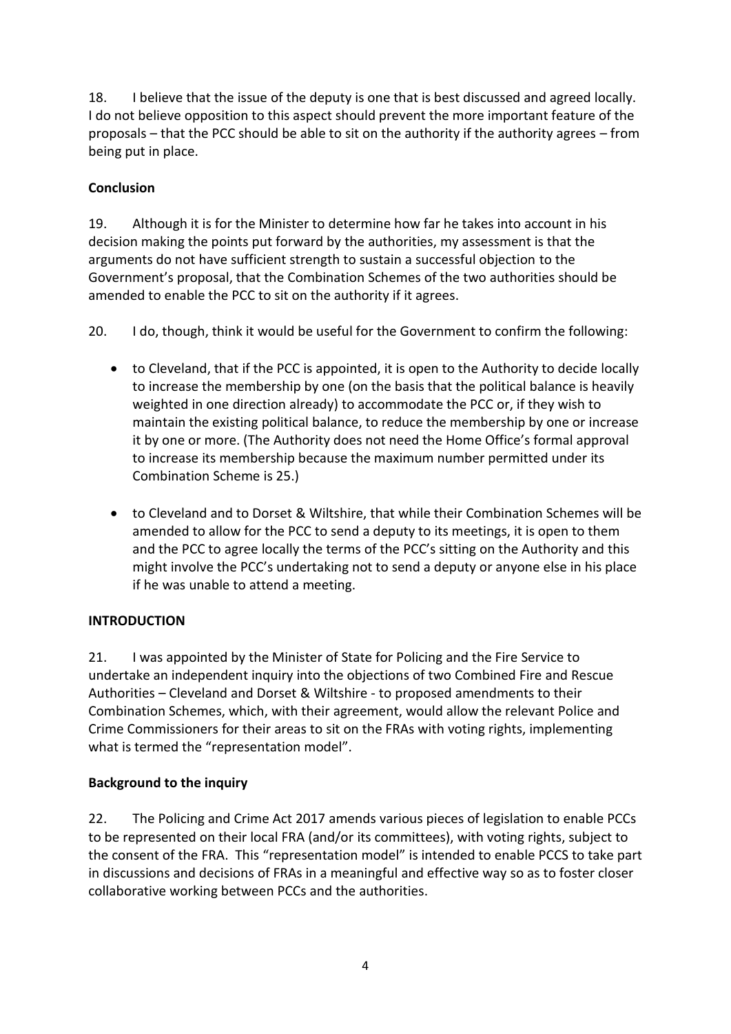18. I believe that the issue of the deputy is one that is best discussed and agreed locally. I do not believe opposition to this aspect should prevent the more important feature of the proposals – that the PCC should be able to sit on the authority if the authority agrees – from being put in place.

## **Conclusion**

19. Although it is for the Minister to determine how far he takes into account in his decision making the points put forward by the authorities, my assessment is that the arguments do not have sufficient strength to sustain a successful objection to the Government's proposal, that the Combination Schemes of the two authorities should be amended to enable the PCC to sit on the authority if it agrees.

20. I do, though, think it would be useful for the Government to confirm the following:

- to Cleveland, that if the PCC is appointed, it is open to the Authority to decide locally to increase the membership by one (on the basis that the political balance is heavily weighted in one direction already) to accommodate the PCC or, if they wish to maintain the existing political balance, to reduce the membership by one or increase it by one or more. (The Authority does not need the Home Office's formal approval to increase its membership because the maximum number permitted under its Combination Scheme is 25.)
- to Cleveland and to Dorset & Wiltshire, that while their Combination Schemes will be amended to allow for the PCC to send a deputy to its meetings, it is open to them and the PCC to agree locally the terms of the PCC's sitting on the Authority and this might involve the PCC's undertaking not to send a deputy or anyone else in his place if he was unable to attend a meeting.

## **INTRODUCTION**

21. I was appointed by the Minister of State for Policing and the Fire Service to undertake an independent inquiry into the objections of two Combined Fire and Rescue Authorities – Cleveland and Dorset & Wiltshire - to proposed amendments to their Combination Schemes, which, with their agreement, would allow the relevant Police and Crime Commissioners for their areas to sit on the FRAs with voting rights, implementing what is termed the "representation model".

### **Background to the inquiry**

22. The Policing and Crime Act 2017 amends various pieces of legislation to enable PCCs to be represented on their local FRA (and/or its committees), with voting rights, subject to the consent of the FRA. This "representation model" is intended to enable PCCS to take part in discussions and decisions of FRAs in a meaningful and effective way so as to foster closer collaborative working between PCCs and the authorities.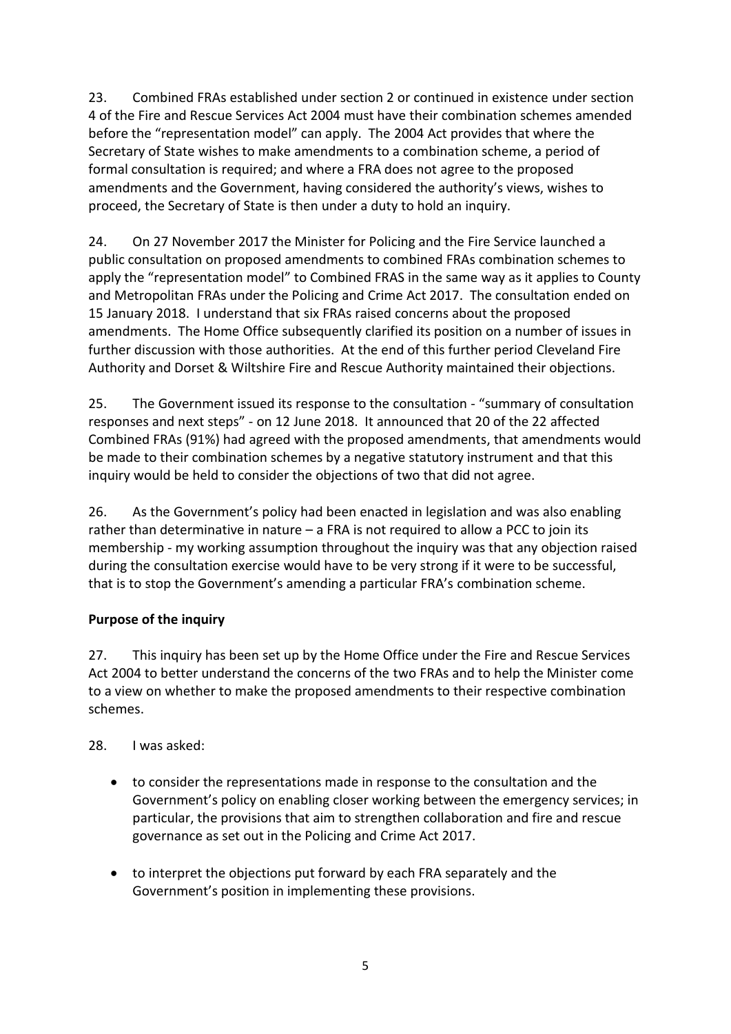23. Combined FRAs established under section 2 or continued in existence under section 4 of the Fire and Rescue Services Act 2004 must have their combination schemes amended before the "representation model" can apply. The 2004 Act provides that where the Secretary of State wishes to make amendments to a combination scheme, a period of formal consultation is required; and where a FRA does not agree to the proposed amendments and the Government, having considered the authority's views, wishes to proceed, the Secretary of State is then under a duty to hold an inquiry.

24. On 27 November 2017 the Minister for Policing and the Fire Service launched a public consultation on proposed amendments to combined FRAs combination schemes to apply the "representation model" to Combined FRAS in the same way as it applies to County and Metropolitan FRAs under the Policing and Crime Act 2017. The consultation ended on 15 January 2018. I understand that six FRAs raised concerns about the proposed amendments. The Home Office subsequently clarified its position on a number of issues in further discussion with those authorities. At the end of this further period Cleveland Fire Authority and Dorset & Wiltshire Fire and Rescue Authority maintained their objections.

25. The Government issued its response to the consultation - "summary of consultation responses and next steps" - on 12 June 2018. It announced that 20 of the 22 affected Combined FRAs (91%) had agreed with the proposed amendments, that amendments would be made to their combination schemes by a negative statutory instrument and that this inquiry would be held to consider the objections of two that did not agree.

26. As the Government's policy had been enacted in legislation and was also enabling rather than determinative in nature – a FRA is not required to allow a PCC to join its membership - my working assumption throughout the inquiry was that any objection raised during the consultation exercise would have to be very strong if it were to be successful, that is to stop the Government's amending a particular FRA's combination scheme.

## **Purpose of the inquiry**

27. This inquiry has been set up by the Home Office under the Fire and Rescue Services Act 2004 to better understand the concerns of the two FRAs and to help the Minister come to a view on whether to make the proposed amendments to their respective combination schemes.

## 28. I was asked:

- to consider the representations made in response to the consultation and the Government's policy on enabling closer working between the emergency services; in particular, the provisions that aim to strengthen collaboration and fire and rescue governance as set out in the Policing and Crime Act 2017.
- to interpret the objections put forward by each FRA separately and the Government's position in implementing these provisions.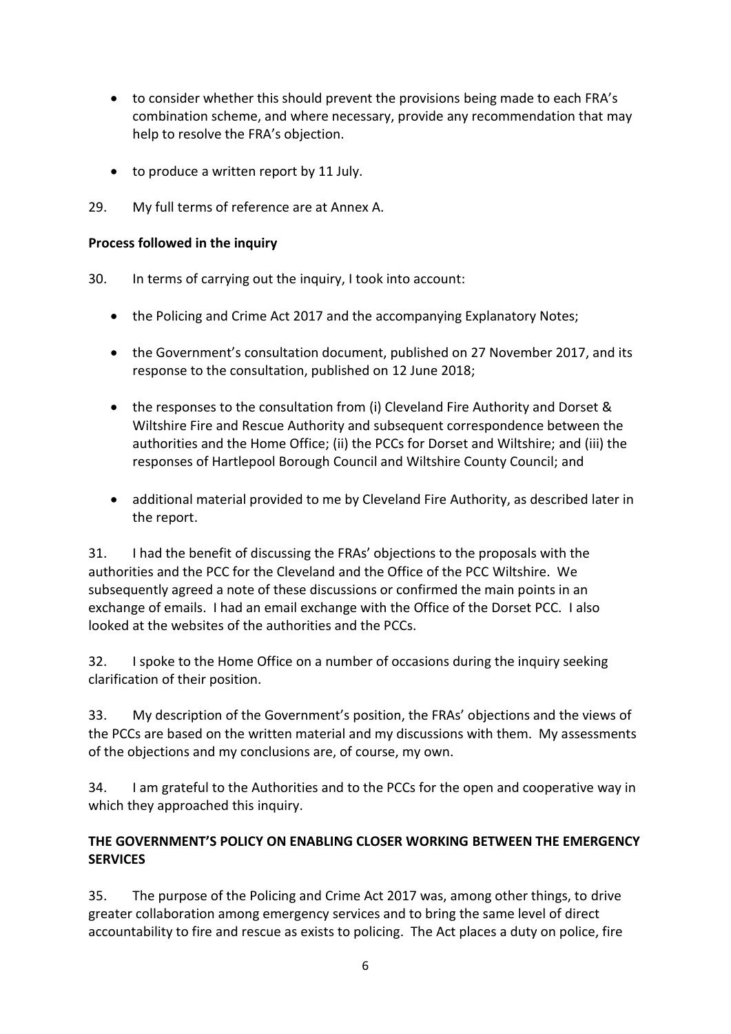- to consider whether this should prevent the provisions being made to each FRA's combination scheme, and where necessary, provide any recommendation that may help to resolve the FRA's objection.
- to produce a written report by 11 July.
- 29. My full terms of reference are at Annex A.

### **Process followed in the inquiry**

- 30. In terms of carrying out the inquiry, I took into account:
	- the Policing and Crime Act 2017 and the accompanying Explanatory Notes;
	- the Government's consultation document, published on 27 November 2017, and its response to the consultation, published on 12 June 2018;
	- the responses to the consultation from (i) Cleveland Fire Authority and Dorset & Wiltshire Fire and Rescue Authority and subsequent correspondence between the authorities and the Home Office; (ii) the PCCs for Dorset and Wiltshire; and (iii) the responses of Hartlepool Borough Council and Wiltshire County Council; and
	- additional material provided to me by Cleveland Fire Authority, as described later in the report.

31. I had the benefit of discussing the FRAs' objections to the proposals with the authorities and the PCC for the Cleveland and the Office of the PCC Wiltshire. We subsequently agreed a note of these discussions or confirmed the main points in an exchange of emails. I had an email exchange with the Office of the Dorset PCC. I also looked at the websites of the authorities and the PCCs.

32. I spoke to the Home Office on a number of occasions during the inquiry seeking clarification of their position.

33. My description of the Government's position, the FRAs' objections and the views of the PCCs are based on the written material and my discussions with them. My assessments of the objections and my conclusions are, of course, my own.

34. I am grateful to the Authorities and to the PCCs for the open and cooperative way in which they approached this inquiry.

## **THE GOVERNMENT'S POLICY ON ENABLING CLOSER WORKING BETWEEN THE EMERGENCY SERVICES**

35. The purpose of the Policing and Crime Act 2017 was, among other things, to drive greater collaboration among emergency services and to bring the same level of direct accountability to fire and rescue as exists to policing. The Act places a duty on police, fire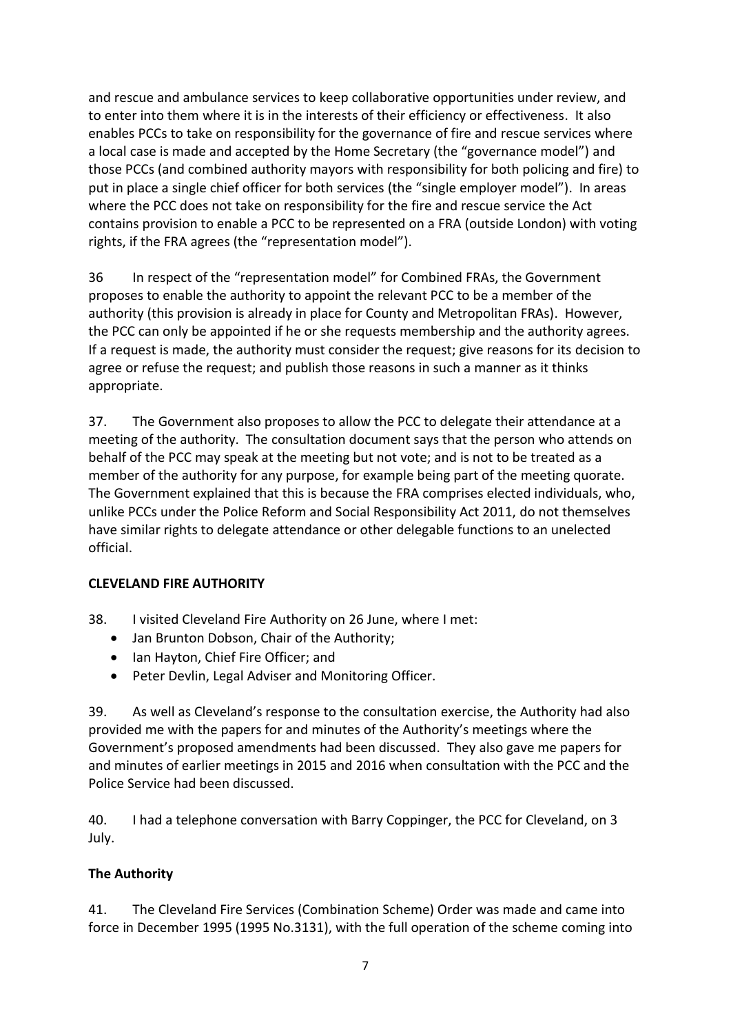and rescue and ambulance services to keep collaborative opportunities under review, and to enter into them where it is in the interests of their efficiency or effectiveness. It also enables PCCs to take on responsibility for the governance of fire and rescue services where a local case is made and accepted by the Home Secretary (the "governance model") and those PCCs (and combined authority mayors with responsibility for both policing and fire) to put in place a single chief officer for both services (the "single employer model"). In areas where the PCC does not take on responsibility for the fire and rescue service the Act contains provision to enable a PCC to be represented on a FRA (outside London) with voting rights, if the FRA agrees (the "representation model").

36 In respect of the "representation model" for Combined FRAs, the Government proposes to enable the authority to appoint the relevant PCC to be a member of the authority (this provision is already in place for County and Metropolitan FRAs). However, the PCC can only be appointed if he or she requests membership and the authority agrees. If a request is made, the authority must consider the request; give reasons for its decision to agree or refuse the request; and publish those reasons in such a manner as it thinks appropriate.

37. The Government also proposes to allow the PCC to delegate their attendance at a meeting of the authority. The consultation document says that the person who attends on behalf of the PCC may speak at the meeting but not vote; and is not to be treated as a member of the authority for any purpose, for example being part of the meeting quorate. The Government explained that this is because the FRA comprises elected individuals, who, unlike PCCs under the Police Reform and Social Responsibility Act 2011, do not themselves have similar rights to delegate attendance or other delegable functions to an unelected official.

## **CLEVELAND FIRE AUTHORITY**

- 38. I visited Cleveland Fire Authority on 26 June, where I met:
	- Jan Brunton Dobson, Chair of the Authority;
	- Ian Hayton, Chief Fire Officer; and
	- Peter Devlin, Legal Adviser and Monitoring Officer.

39. As well as Cleveland's response to the consultation exercise, the Authority had also provided me with the papers for and minutes of the Authority's meetings where the Government's proposed amendments had been discussed. They also gave me papers for and minutes of earlier meetings in 2015 and 2016 when consultation with the PCC and the Police Service had been discussed.

40. I had a telephone conversation with Barry Coppinger, the PCC for Cleveland, on 3 July.

### **The Authority**

41. The Cleveland Fire Services (Combination Scheme) Order was made and came into force in December 1995 (1995 No.3131), with the full operation of the scheme coming into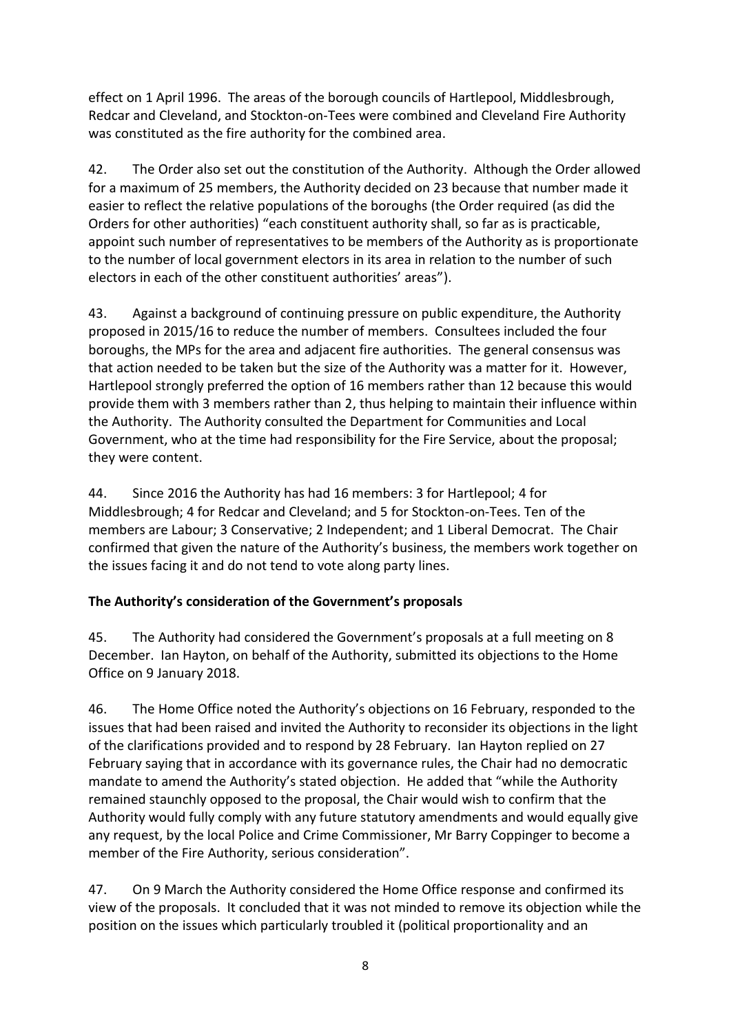effect on 1 April 1996. The areas of the borough councils of Hartlepool, Middlesbrough, Redcar and Cleveland, and Stockton-on-Tees were combined and Cleveland Fire Authority was constituted as the fire authority for the combined area.

42. The Order also set out the constitution of the Authority. Although the Order allowed for a maximum of 25 members, the Authority decided on 23 because that number made it easier to reflect the relative populations of the boroughs (the Order required (as did the Orders for other authorities) "each constituent authority shall, so far as is practicable, appoint such number of representatives to be members of the Authority as is proportionate to the number of local government electors in its area in relation to the number of such electors in each of the other constituent authorities' areas").

43. Against a background of continuing pressure on public expenditure, the Authority proposed in 2015/16 to reduce the number of members. Consultees included the four boroughs, the MPs for the area and adjacent fire authorities. The general consensus was that action needed to be taken but the size of the Authority was a matter for it. However, Hartlepool strongly preferred the option of 16 members rather than 12 because this would provide them with 3 members rather than 2, thus helping to maintain their influence within the Authority. The Authority consulted the Department for Communities and Local Government, who at the time had responsibility for the Fire Service, about the proposal; they were content.

44. Since 2016 the Authority has had 16 members: 3 for Hartlepool; 4 for Middlesbrough; 4 for Redcar and Cleveland; and 5 for Stockton-on-Tees. Ten of the members are Labour; 3 Conservative; 2 Independent; and 1 Liberal Democrat. The Chair confirmed that given the nature of the Authority's business, the members work together on the issues facing it and do not tend to vote along party lines.

## **The Authority's consideration of the Government's proposals**

45. The Authority had considered the Government's proposals at a full meeting on 8 December. Ian Hayton, on behalf of the Authority, submitted its objections to the Home Office on 9 January 2018.

46. The Home Office noted the Authority's objections on 16 February, responded to the issues that had been raised and invited the Authority to reconsider its objections in the light of the clarifications provided and to respond by 28 February. Ian Hayton replied on 27 February saying that in accordance with its governance rules, the Chair had no democratic mandate to amend the Authority's stated objection. He added that "while the Authority remained staunchly opposed to the proposal, the Chair would wish to confirm that the Authority would fully comply with any future statutory amendments and would equally give any request, by the local Police and Crime Commissioner, Mr Barry Coppinger to become a member of the Fire Authority, serious consideration".

47. On 9 March the Authority considered the Home Office response and confirmed its view of the proposals. It concluded that it was not minded to remove its objection while the position on the issues which particularly troubled it (political proportionality and an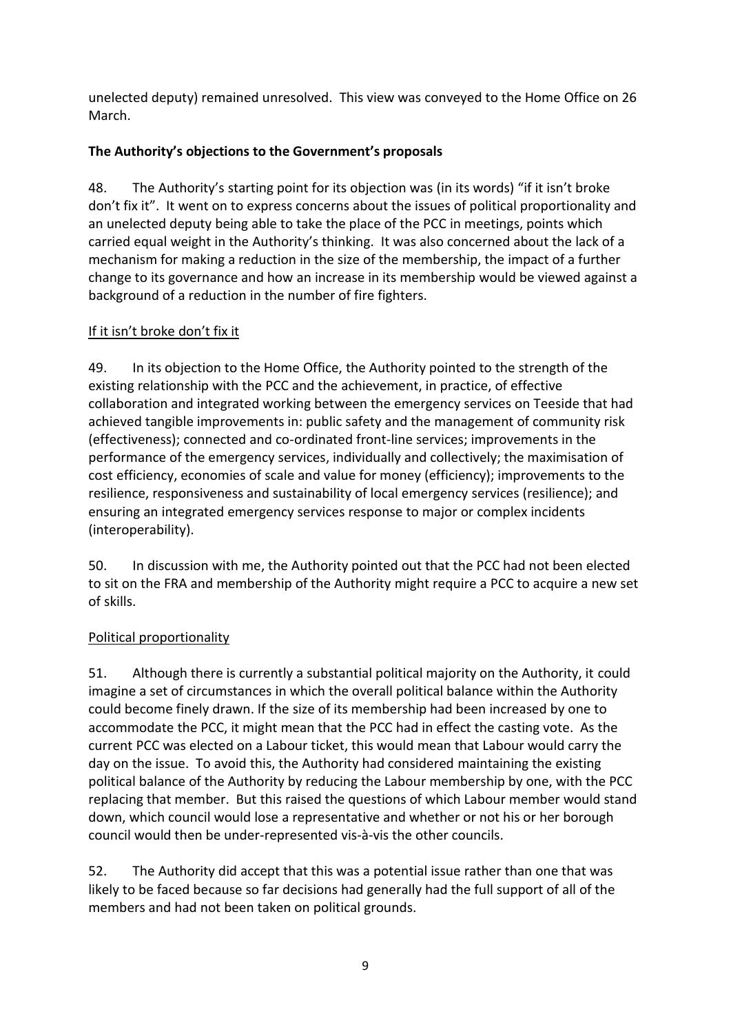unelected deputy) remained unresolved. This view was conveyed to the Home Office on 26 March.

# **The Authority's objections to the Government's proposals**

48. The Authority's starting point for its objection was (in its words) "if it isn't broke don't fix it". It went on to express concerns about the issues of political proportionality and an unelected deputy being able to take the place of the PCC in meetings, points which carried equal weight in the Authority's thinking. It was also concerned about the lack of a mechanism for making a reduction in the size of the membership, the impact of a further change to its governance and how an increase in its membership would be viewed against a background of a reduction in the number of fire fighters.

## If it isn't broke don't fix it

49. In its objection to the Home Office, the Authority pointed to the strength of the existing relationship with the PCC and the achievement, in practice, of effective collaboration and integrated working between the emergency services on Teeside that had achieved tangible improvements in: public safety and the management of community risk (effectiveness); connected and co-ordinated front-line services; improvements in the performance of the emergency services, individually and collectively; the maximisation of cost efficiency, economies of scale and value for money (efficiency); improvements to the resilience, responsiveness and sustainability of local emergency services (resilience); and ensuring an integrated emergency services response to major or complex incidents (interoperability).

50. In discussion with me, the Authority pointed out that the PCC had not been elected to sit on the FRA and membership of the Authority might require a PCC to acquire a new set of skills.

# Political proportionality

51. Although there is currently a substantial political majority on the Authority, it could imagine a set of circumstances in which the overall political balance within the Authority could become finely drawn. If the size of its membership had been increased by one to accommodate the PCC, it might mean that the PCC had in effect the casting vote. As the current PCC was elected on a Labour ticket, this would mean that Labour would carry the day on the issue. To avoid this, the Authority had considered maintaining the existing political balance of the Authority by reducing the Labour membership by one, with the PCC replacing that member. But this raised the questions of which Labour member would stand down, which council would lose a representative and whether or not his or her borough council would then be under-represented vis-à-vis the other councils.

52. The Authority did accept that this was a potential issue rather than one that was likely to be faced because so far decisions had generally had the full support of all of the members and had not been taken on political grounds.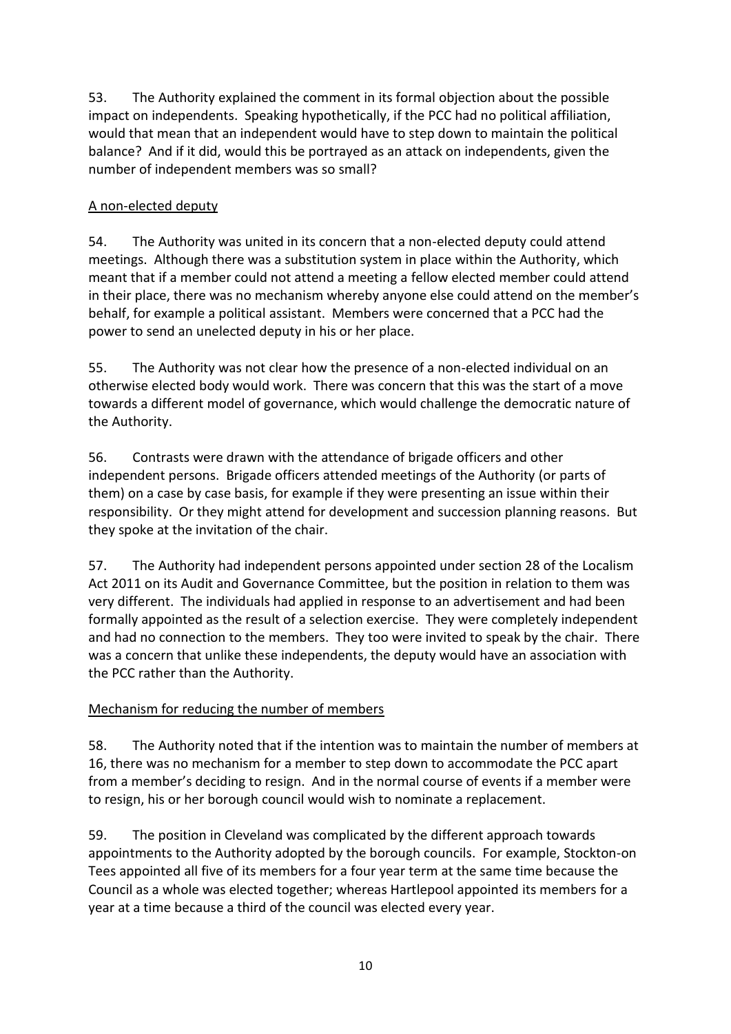53. The Authority explained the comment in its formal objection about the possible impact on independents. Speaking hypothetically, if the PCC had no political affiliation, would that mean that an independent would have to step down to maintain the political balance? And if it did, would this be portrayed as an attack on independents, given the number of independent members was so small?

## A non-elected deputy

54. The Authority was united in its concern that a non-elected deputy could attend meetings. Although there was a substitution system in place within the Authority, which meant that if a member could not attend a meeting a fellow elected member could attend in their place, there was no mechanism whereby anyone else could attend on the member's behalf, for example a political assistant. Members were concerned that a PCC had the power to send an unelected deputy in his or her place.

55. The Authority was not clear how the presence of a non-elected individual on an otherwise elected body would work. There was concern that this was the start of a move towards a different model of governance, which would challenge the democratic nature of the Authority.

56. Contrasts were drawn with the attendance of brigade officers and other independent persons. Brigade officers attended meetings of the Authority (or parts of them) on a case by case basis, for example if they were presenting an issue within their responsibility. Or they might attend for development and succession planning reasons. But they spoke at the invitation of the chair.

57. The Authority had independent persons appointed under section 28 of the Localism Act 2011 on its Audit and Governance Committee, but the position in relation to them was very different. The individuals had applied in response to an advertisement and had been formally appointed as the result of a selection exercise. They were completely independent and had no connection to the members. They too were invited to speak by the chair. There was a concern that unlike these independents, the deputy would have an association with the PCC rather than the Authority.

## Mechanism for reducing the number of members

58. The Authority noted that if the intention was to maintain the number of members at 16, there was no mechanism for a member to step down to accommodate the PCC apart from a member's deciding to resign. And in the normal course of events if a member were to resign, his or her borough council would wish to nominate a replacement.

59. The position in Cleveland was complicated by the different approach towards appointments to the Authority adopted by the borough councils. For example, Stockton-on Tees appointed all five of its members for a four year term at the same time because the Council as a whole was elected together; whereas Hartlepool appointed its members for a year at a time because a third of the council was elected every year.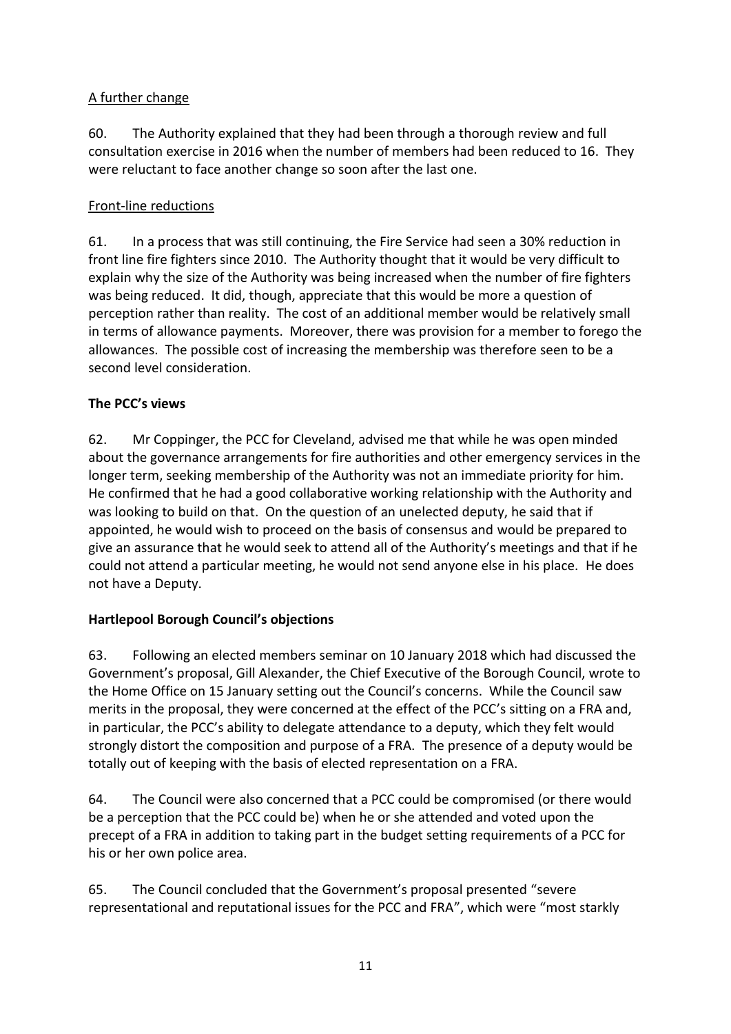## A further change

60. The Authority explained that they had been through a thorough review and full consultation exercise in 2016 when the number of members had been reduced to 16. They were reluctant to face another change so soon after the last one.

## Front-line reductions

61. In a process that was still continuing, the Fire Service had seen a 30% reduction in front line fire fighters since 2010. The Authority thought that it would be very difficult to explain why the size of the Authority was being increased when the number of fire fighters was being reduced. It did, though, appreciate that this would be more a question of perception rather than reality. The cost of an additional member would be relatively small in terms of allowance payments. Moreover, there was provision for a member to forego the allowances. The possible cost of increasing the membership was therefore seen to be a second level consideration.

# **The PCC's views**

62. Mr Coppinger, the PCC for Cleveland, advised me that while he was open minded about the governance arrangements for fire authorities and other emergency services in the longer term, seeking membership of the Authority was not an immediate priority for him. He confirmed that he had a good collaborative working relationship with the Authority and was looking to build on that. On the question of an unelected deputy, he said that if appointed, he would wish to proceed on the basis of consensus and would be prepared to give an assurance that he would seek to attend all of the Authority's meetings and that if he could not attend a particular meeting, he would not send anyone else in his place. He does not have a Deputy.

# **Hartlepool Borough Council's objections**

63. Following an elected members seminar on 10 January 2018 which had discussed the Government's proposal, Gill Alexander, the Chief Executive of the Borough Council, wrote to the Home Office on 15 January setting out the Council's concerns. While the Council saw merits in the proposal, they were concerned at the effect of the PCC's sitting on a FRA and, in particular, the PCC's ability to delegate attendance to a deputy, which they felt would strongly distort the composition and purpose of a FRA. The presence of a deputy would be totally out of keeping with the basis of elected representation on a FRA.

64. The Council were also concerned that a PCC could be compromised (or there would be a perception that the PCC could be) when he or she attended and voted upon the precept of a FRA in addition to taking part in the budget setting requirements of a PCC for his or her own police area.

65. The Council concluded that the Government's proposal presented "severe representational and reputational issues for the PCC and FRA", which were "most starkly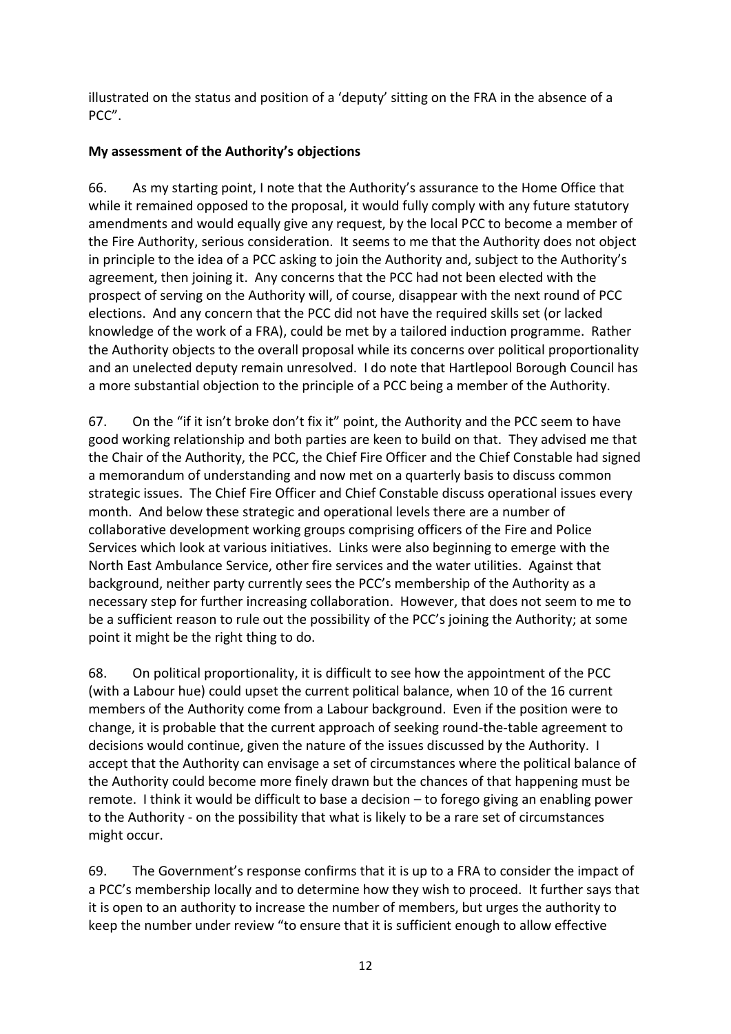illustrated on the status and position of a 'deputy' sitting on the FRA in the absence of a PCC".

## **My assessment of the Authority's objections**

66. As my starting point, I note that the Authority's assurance to the Home Office that while it remained opposed to the proposal, it would fully comply with any future statutory amendments and would equally give any request, by the local PCC to become a member of the Fire Authority, serious consideration. It seems to me that the Authority does not object in principle to the idea of a PCC asking to join the Authority and, subject to the Authority's agreement, then joining it. Any concerns that the PCC had not been elected with the prospect of serving on the Authority will, of course, disappear with the next round of PCC elections. And any concern that the PCC did not have the required skills set (or lacked knowledge of the work of a FRA), could be met by a tailored induction programme. Rather the Authority objects to the overall proposal while its concerns over political proportionality and an unelected deputy remain unresolved. I do note that Hartlepool Borough Council has a more substantial objection to the principle of a PCC being a member of the Authority.

67. On the "if it isn't broke don't fix it" point, the Authority and the PCC seem to have good working relationship and both parties are keen to build on that. They advised me that the Chair of the Authority, the PCC, the Chief Fire Officer and the Chief Constable had signed a memorandum of understanding and now met on a quarterly basis to discuss common strategic issues. The Chief Fire Officer and Chief Constable discuss operational issues every month. And below these strategic and operational levels there are a number of collaborative development working groups comprising officers of the Fire and Police Services which look at various initiatives. Links were also beginning to emerge with the North East Ambulance Service, other fire services and the water utilities. Against that background, neither party currently sees the PCC's membership of the Authority as a necessary step for further increasing collaboration. However, that does not seem to me to be a sufficient reason to rule out the possibility of the PCC's joining the Authority; at some point it might be the right thing to do.

68. On political proportionality, it is difficult to see how the appointment of the PCC (with a Labour hue) could upset the current political balance, when 10 of the 16 current members of the Authority come from a Labour background. Even if the position were to change, it is probable that the current approach of seeking round-the-table agreement to decisions would continue, given the nature of the issues discussed by the Authority. I accept that the Authority can envisage a set of circumstances where the political balance of the Authority could become more finely drawn but the chances of that happening must be remote. I think it would be difficult to base a decision – to forego giving an enabling power to the Authority - on the possibility that what is likely to be a rare set of circumstances might occur.

69. The Government's response confirms that it is up to a FRA to consider the impact of a PCC's membership locally and to determine how they wish to proceed. It further says that it is open to an authority to increase the number of members, but urges the authority to keep the number under review "to ensure that it is sufficient enough to allow effective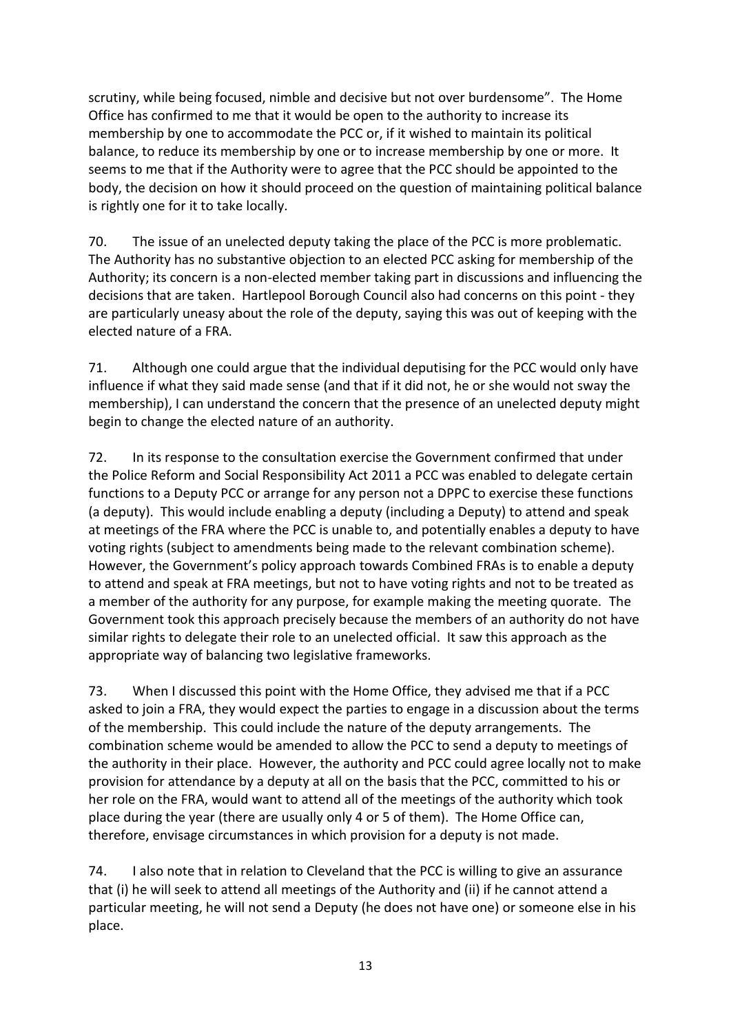scrutiny, while being focused, nimble and decisive but not over burdensome". The Home Office has confirmed to me that it would be open to the authority to increase its membership by one to accommodate the PCC or, if it wished to maintain its political balance, to reduce its membership by one or to increase membership by one or more. It seems to me that if the Authority were to agree that the PCC should be appointed to the body, the decision on how it should proceed on the question of maintaining political balance is rightly one for it to take locally.

70. The issue of an unelected deputy taking the place of the PCC is more problematic. The Authority has no substantive objection to an elected PCC asking for membership of the Authority; its concern is a non-elected member taking part in discussions and influencing the decisions that are taken. Hartlepool Borough Council also had concerns on this point - they are particularly uneasy about the role of the deputy, saying this was out of keeping with the elected nature of a FRA.

71. Although one could argue that the individual deputising for the PCC would only have influence if what they said made sense (and that if it did not, he or she would not sway the membership), I can understand the concern that the presence of an unelected deputy might begin to change the elected nature of an authority.

72. In its response to the consultation exercise the Government confirmed that under the Police Reform and Social Responsibility Act 2011 a PCC was enabled to delegate certain functions to a Deputy PCC or arrange for any person not a DPPC to exercise these functions (a deputy). This would include enabling a deputy (including a Deputy) to attend and speak at meetings of the FRA where the PCC is unable to, and potentially enables a deputy to have voting rights (subject to amendments being made to the relevant combination scheme). However, the Government's policy approach towards Combined FRAs is to enable a deputy to attend and speak at FRA meetings, but not to have voting rights and not to be treated as a member of the authority for any purpose, for example making the meeting quorate. The Government took this approach precisely because the members of an authority do not have similar rights to delegate their role to an unelected official. It saw this approach as the appropriate way of balancing two legislative frameworks.

73. When I discussed this point with the Home Office, they advised me that if a PCC asked to join a FRA, they would expect the parties to engage in a discussion about the terms of the membership. This could include the nature of the deputy arrangements. The combination scheme would be amended to allow the PCC to send a deputy to meetings of the authority in their place. However, the authority and PCC could agree locally not to make provision for attendance by a deputy at all on the basis that the PCC, committed to his or her role on the FRA, would want to attend all of the meetings of the authority which took place during the year (there are usually only 4 or 5 of them). The Home Office can, therefore, envisage circumstances in which provision for a deputy is not made.

74. I also note that in relation to Cleveland that the PCC is willing to give an assurance that (i) he will seek to attend all meetings of the Authority and (ii) if he cannot attend a particular meeting, he will not send a Deputy (he does not have one) or someone else in his place.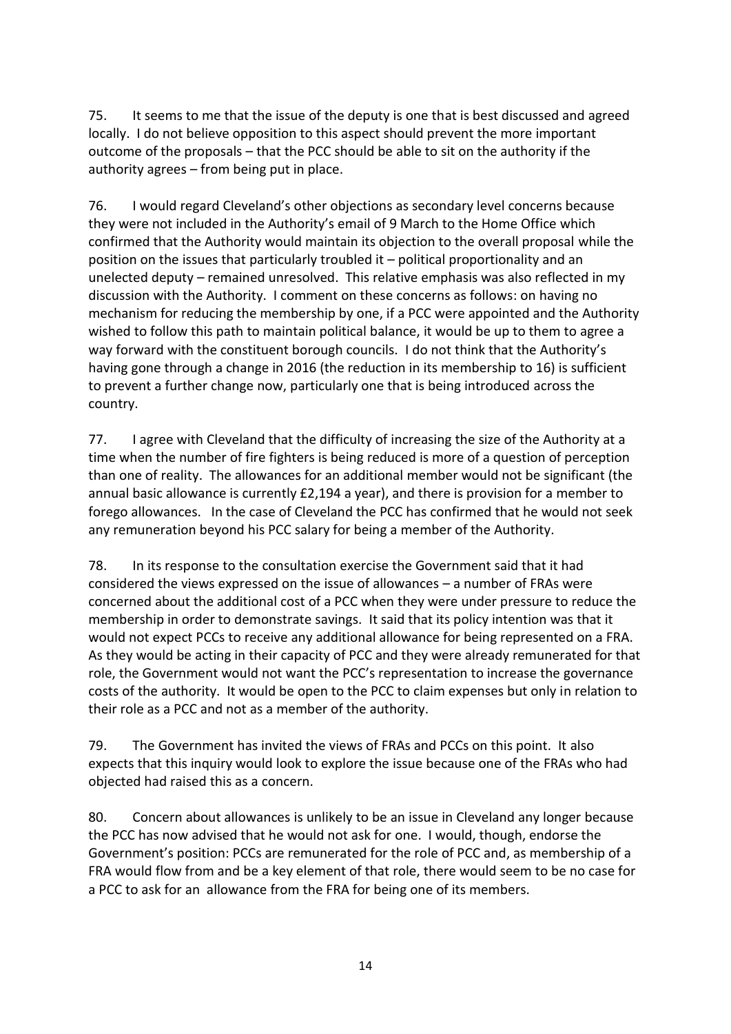75. It seems to me that the issue of the deputy is one that is best discussed and agreed locally. I do not believe opposition to this aspect should prevent the more important outcome of the proposals – that the PCC should be able to sit on the authority if the authority agrees – from being put in place.

76. I would regard Cleveland's other objections as secondary level concerns because they were not included in the Authority's email of 9 March to the Home Office which confirmed that the Authority would maintain its objection to the overall proposal while the position on the issues that particularly troubled it – political proportionality and an unelected deputy – remained unresolved. This relative emphasis was also reflected in my discussion with the Authority. I comment on these concerns as follows: on having no mechanism for reducing the membership by one, if a PCC were appointed and the Authority wished to follow this path to maintain political balance, it would be up to them to agree a way forward with the constituent borough councils. I do not think that the Authority's having gone through a change in 2016 (the reduction in its membership to 16) is sufficient to prevent a further change now, particularly one that is being introduced across the country.

77. I agree with Cleveland that the difficulty of increasing the size of the Authority at a time when the number of fire fighters is being reduced is more of a question of perception than one of reality. The allowances for an additional member would not be significant (the annual basic allowance is currently £2,194 a year), and there is provision for a member to forego allowances. In the case of Cleveland the PCC has confirmed that he would not seek any remuneration beyond his PCC salary for being a member of the Authority.

78. In its response to the consultation exercise the Government said that it had considered the views expressed on the issue of allowances – a number of FRAs were concerned about the additional cost of a PCC when they were under pressure to reduce the membership in order to demonstrate savings. It said that its policy intention was that it would not expect PCCs to receive any additional allowance for being represented on a FRA. As they would be acting in their capacity of PCC and they were already remunerated for that role, the Government would not want the PCC's representation to increase the governance costs of the authority. It would be open to the PCC to claim expenses but only in relation to their role as a PCC and not as a member of the authority.

79. The Government has invited the views of FRAs and PCCs on this point. It also expects that this inquiry would look to explore the issue because one of the FRAs who had objected had raised this as a concern.

80. Concern about allowances is unlikely to be an issue in Cleveland any longer because the PCC has now advised that he would not ask for one. I would, though, endorse the Government's position: PCCs are remunerated for the role of PCC and, as membership of a FRA would flow from and be a key element of that role, there would seem to be no case for a PCC to ask for an allowance from the FRA for being one of its members.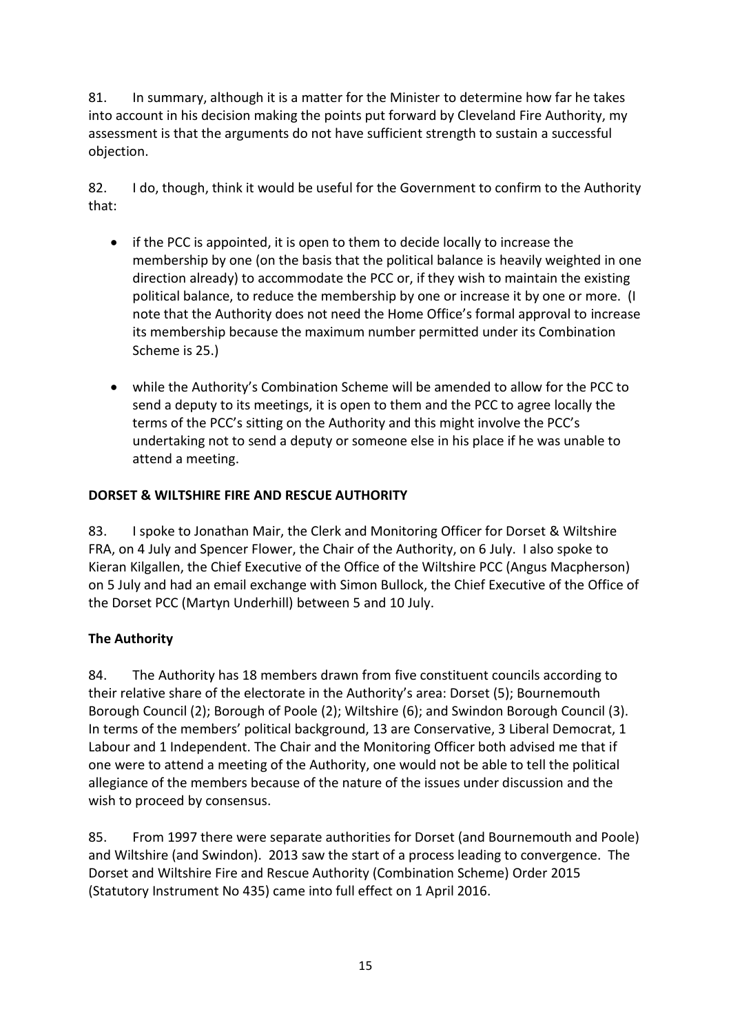81. In summary, although it is a matter for the Minister to determine how far he takes into account in his decision making the points put forward by Cleveland Fire Authority, my assessment is that the arguments do not have sufficient strength to sustain a successful objection.

82. I do, though, think it would be useful for the Government to confirm to the Authority that:

- if the PCC is appointed, it is open to them to decide locally to increase the membership by one (on the basis that the political balance is heavily weighted in one direction already) to accommodate the PCC or, if they wish to maintain the existing political balance, to reduce the membership by one or increase it by one or more. (I note that the Authority does not need the Home Office's formal approval to increase its membership because the maximum number permitted under its Combination Scheme is 25.)
- while the Authority's Combination Scheme will be amended to allow for the PCC to send a deputy to its meetings, it is open to them and the PCC to agree locally the terms of the PCC's sitting on the Authority and this might involve the PCC's undertaking not to send a deputy or someone else in his place if he was unable to attend a meeting.

## **DORSET & WILTSHIRE FIRE AND RESCUE AUTHORITY**

83. I spoke to Jonathan Mair, the Clerk and Monitoring Officer for Dorset & Wiltshire FRA, on 4 July and Spencer Flower, the Chair of the Authority, on 6 July. I also spoke to Kieran Kilgallen, the Chief Executive of the Office of the Wiltshire PCC (Angus Macpherson) on 5 July and had an email exchange with Simon Bullock, the Chief Executive of the Office of the Dorset PCC (Martyn Underhill) between 5 and 10 July.

## **The Authority**

84. The Authority has 18 members drawn from five constituent councils according to their relative share of the electorate in the Authority's area: Dorset (5); Bournemouth Borough Council (2); Borough of Poole (2); Wiltshire (6); and Swindon Borough Council (3). In terms of the members' political background, 13 are Conservative, 3 Liberal Democrat, 1 Labour and 1 Independent. The Chair and the Monitoring Officer both advised me that if one were to attend a meeting of the Authority, one would not be able to tell the political allegiance of the members because of the nature of the issues under discussion and the wish to proceed by consensus.

85. From 1997 there were separate authorities for Dorset (and Bournemouth and Poole) and Wiltshire (and Swindon). 2013 saw the start of a process leading to convergence. The Dorset and Wiltshire Fire and Rescue Authority (Combination Scheme) Order 2015 (Statutory Instrument No 435) came into full effect on 1 April 2016.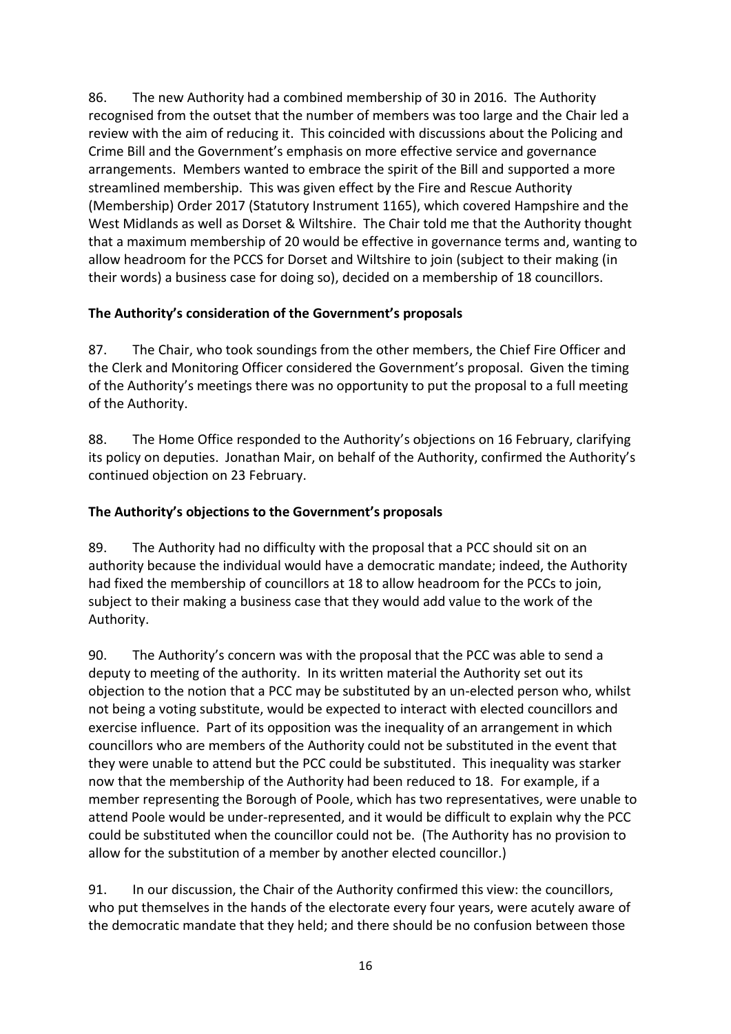86. The new Authority had a combined membership of 30 in 2016. The Authority recognised from the outset that the number of members was too large and the Chair led a review with the aim of reducing it. This coincided with discussions about the Policing and Crime Bill and the Government's emphasis on more effective service and governance arrangements. Members wanted to embrace the spirit of the Bill and supported a more streamlined membership. This was given effect by the Fire and Rescue Authority (Membership) Order 2017 (Statutory Instrument 1165), which covered Hampshire and the West Midlands as well as Dorset & Wiltshire. The Chair told me that the Authority thought that a maximum membership of 20 would be effective in governance terms and, wanting to allow headroom for the PCCS for Dorset and Wiltshire to join (subject to their making (in their words) a business case for doing so), decided on a membership of 18 councillors.

## **The Authority's consideration of the Government's proposals**

87. The Chair, who took soundings from the other members, the Chief Fire Officer and the Clerk and Monitoring Officer considered the Government's proposal. Given the timing of the Authority's meetings there was no opportunity to put the proposal to a full meeting of the Authority.

88. The Home Office responded to the Authority's objections on 16 February, clarifying its policy on deputies. Jonathan Mair, on behalf of the Authority, confirmed the Authority's continued objection on 23 February.

## **The Authority's objections to the Government's proposals**

89. The Authority had no difficulty with the proposal that a PCC should sit on an authority because the individual would have a democratic mandate; indeed, the Authority had fixed the membership of councillors at 18 to allow headroom for the PCCs to join, subject to their making a business case that they would add value to the work of the Authority.

90. The Authority's concern was with the proposal that the PCC was able to send a deputy to meeting of the authority. In its written material the Authority set out its objection to the notion that a PCC may be substituted by an un-elected person who, whilst not being a voting substitute, would be expected to interact with elected councillors and exercise influence. Part of its opposition was the inequality of an arrangement in which councillors who are members of the Authority could not be substituted in the event that they were unable to attend but the PCC could be substituted. This inequality was starker now that the membership of the Authority had been reduced to 18. For example, if a member representing the Borough of Poole, which has two representatives, were unable to attend Poole would be under-represented, and it would be difficult to explain why the PCC could be substituted when the councillor could not be. (The Authority has no provision to allow for the substitution of a member by another elected councillor.)

91. In our discussion, the Chair of the Authority confirmed this view: the councillors, who put themselves in the hands of the electorate every four years, were acutely aware of the democratic mandate that they held; and there should be no confusion between those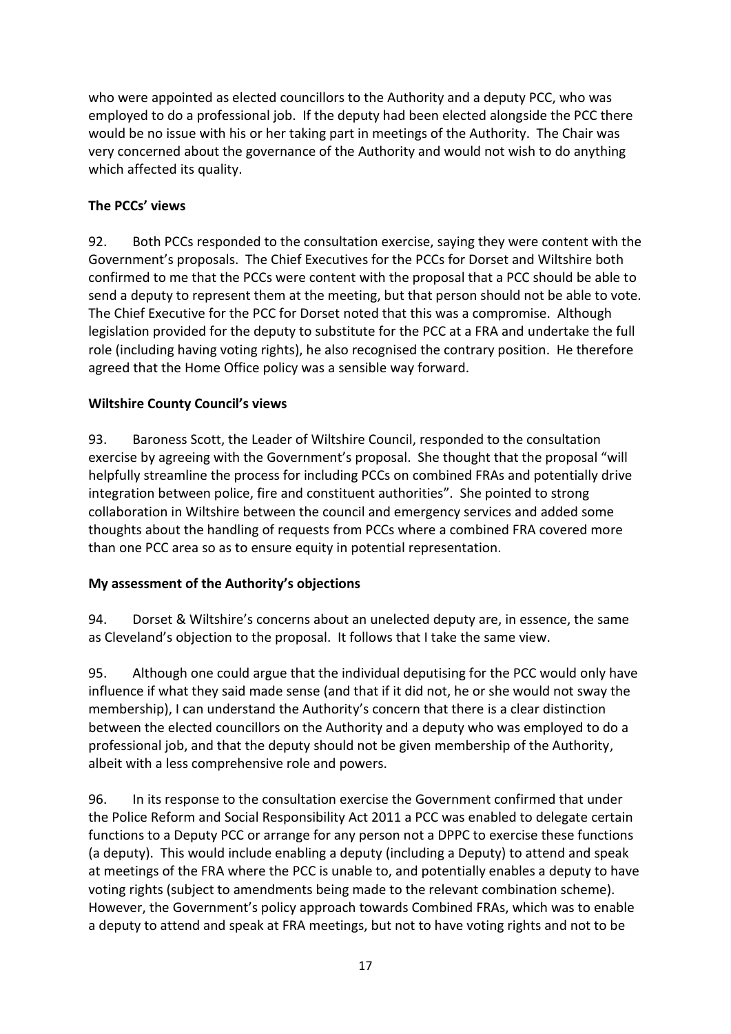who were appointed as elected councillors to the Authority and a deputy PCC, who was employed to do a professional job. If the deputy had been elected alongside the PCC there would be no issue with his or her taking part in meetings of the Authority. The Chair was very concerned about the governance of the Authority and would not wish to do anything which affected its quality.

## **The PCCs' views**

92. Both PCCs responded to the consultation exercise, saying they were content with the Government's proposals. The Chief Executives for the PCCs for Dorset and Wiltshire both confirmed to me that the PCCs were content with the proposal that a PCC should be able to send a deputy to represent them at the meeting, but that person should not be able to vote. The Chief Executive for the PCC for Dorset noted that this was a compromise. Although legislation provided for the deputy to substitute for the PCC at a FRA and undertake the full role (including having voting rights), he also recognised the contrary position. He therefore agreed that the Home Office policy was a sensible way forward.

## **Wiltshire County Council's views**

93. Baroness Scott, the Leader of Wiltshire Council, responded to the consultation exercise by agreeing with the Government's proposal. She thought that the proposal "will helpfully streamline the process for including PCCs on combined FRAs and potentially drive integration between police, fire and constituent authorities". She pointed to strong collaboration in Wiltshire between the council and emergency services and added some thoughts about the handling of requests from PCCs where a combined FRA covered more than one PCC area so as to ensure equity in potential representation.

## **My assessment of the Authority's objections**

94. Dorset & Wiltshire's concerns about an unelected deputy are, in essence, the same as Cleveland's objection to the proposal. It follows that I take the same view.

95. Although one could argue that the individual deputising for the PCC would only have influence if what they said made sense (and that if it did not, he or she would not sway the membership), I can understand the Authority's concern that there is a clear distinction between the elected councillors on the Authority and a deputy who was employed to do a professional job, and that the deputy should not be given membership of the Authority, albeit with a less comprehensive role and powers.

96. In its response to the consultation exercise the Government confirmed that under the Police Reform and Social Responsibility Act 2011 a PCC was enabled to delegate certain functions to a Deputy PCC or arrange for any person not a DPPC to exercise these functions (a deputy). This would include enabling a deputy (including a Deputy) to attend and speak at meetings of the FRA where the PCC is unable to, and potentially enables a deputy to have voting rights (subject to amendments being made to the relevant combination scheme). However, the Government's policy approach towards Combined FRAs, which was to enable a deputy to attend and speak at FRA meetings, but not to have voting rights and not to be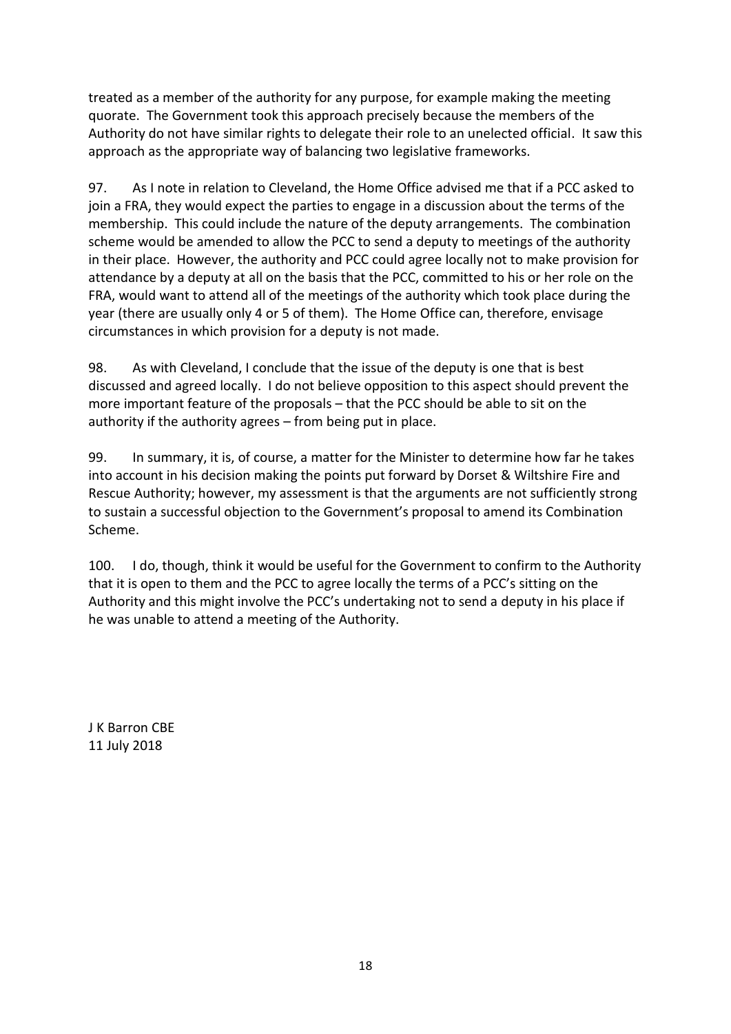treated as a member of the authority for any purpose, for example making the meeting quorate. The Government took this approach precisely because the members of the Authority do not have similar rights to delegate their role to an unelected official. It saw this approach as the appropriate way of balancing two legislative frameworks.

97. As I note in relation to Cleveland, the Home Office advised me that if a PCC asked to join a FRA, they would expect the parties to engage in a discussion about the terms of the membership. This could include the nature of the deputy arrangements. The combination scheme would be amended to allow the PCC to send a deputy to meetings of the authority in their place. However, the authority and PCC could agree locally not to make provision for attendance by a deputy at all on the basis that the PCC, committed to his or her role on the FRA, would want to attend all of the meetings of the authority which took place during the year (there are usually only 4 or 5 of them). The Home Office can, therefore, envisage circumstances in which provision for a deputy is not made.

98. As with Cleveland, I conclude that the issue of the deputy is one that is best discussed and agreed locally. I do not believe opposition to this aspect should prevent the more important feature of the proposals – that the PCC should be able to sit on the authority if the authority agrees – from being put in place.

99. In summary, it is, of course, a matter for the Minister to determine how far he takes into account in his decision making the points put forward by Dorset & Wiltshire Fire and Rescue Authority; however, my assessment is that the arguments are not sufficiently strong to sustain a successful objection to the Government's proposal to amend its Combination Scheme.

100. I do, though, think it would be useful for the Government to confirm to the Authority that it is open to them and the PCC to agree locally the terms of a PCC's sitting on the Authority and this might involve the PCC's undertaking not to send a deputy in his place if he was unable to attend a meeting of the Authority.

J K Barron CBE 11 July 2018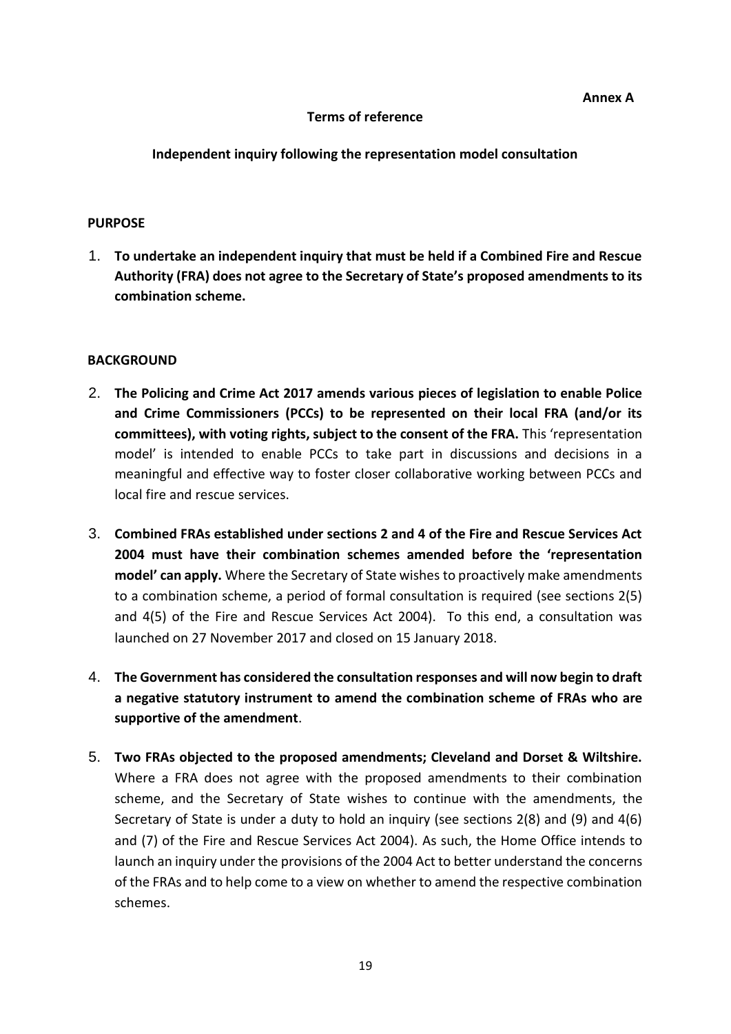#### **Terms of reference**

#### **Independent inquiry following the representation model consultation**

#### **PURPOSE**

1. **To undertake an independent inquiry that must be held if a Combined Fire and Rescue Authority (FRA) does not agree to the Secretary of State's proposed amendments to its combination scheme.** 

#### **BACKGROUND**

- 2. **The Policing and Crime Act 2017 amends various pieces of legislation to enable Police and Crime Commissioners (PCCs) to be represented on their local FRA (and/or its committees), with voting rights, subject to the consent of the FRA.** This 'representation model' is intended to enable PCCs to take part in discussions and decisions in a meaningful and effective way to foster closer collaborative working between PCCs and local fire and rescue services.
- 3. **Combined FRAs established under sections 2 and 4 of the Fire and Rescue Services Act 2004 must have their combination schemes amended before the 'representation model' can apply.** Where the Secretary of State wishes to proactively make amendments to a combination scheme, a period of formal consultation is required (see sections 2(5) and 4(5) of the Fire and Rescue Services Act 2004). To this end, a consultation was launched on 27 November 2017 and closed on 15 January 2018.
- 4. **The Government has considered the consultation responses and will now begin to draft a negative statutory instrument to amend the combination scheme of FRAs who are supportive of the amendment**.
- 5. **Two FRAs objected to the proposed amendments; Cleveland and Dorset & Wiltshire.** Where a FRA does not agree with the proposed amendments to their combination scheme, and the Secretary of State wishes to continue with the amendments, the Secretary of State is under a duty to hold an inquiry (see sections 2(8) and (9) and 4(6) and (7) of the Fire and Rescue Services Act 2004). As such, the Home Office intends to launch an inquiry under the provisions of the 2004 Act to better understand the concerns of the FRAs and to help come to a view on whether to amend the respective combination schemes.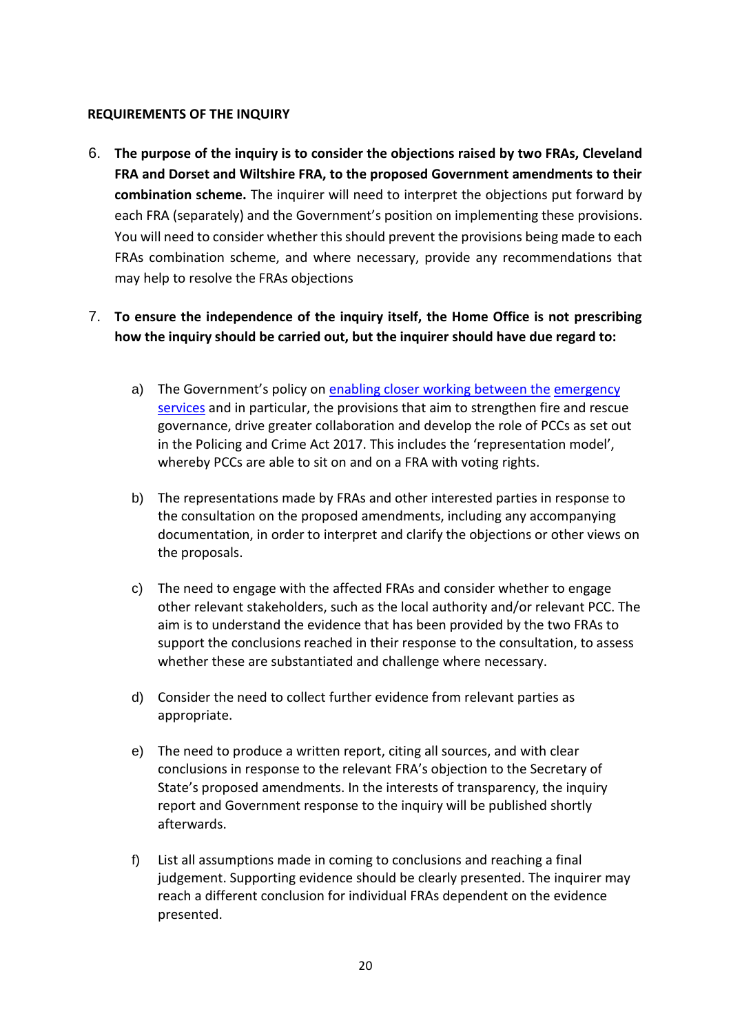#### **REQUIREMENTS OF THE INQUIRY**

6. **The purpose of the inquiry is to consider the objections raised by two FRAs, Cleveland FRA and Dorset and Wiltshire FRA, to the proposed Government amendments to their combination scheme.** The inquirer will need to interpret the objections put forward by each FRA (separately) and the Government's position on implementing these provisions. You will need to consider whether this should prevent the provisions being made to each FRAs combination scheme, and where necessary, provide any recommendations that may help to resolve the FRAs objections

## 7. **To ensure the independence of the inquiry itself, the Home Office is not prescribing how the inquiry should be carried out, but the inquirer should have due regard to:**

- a) The Government's policy o[n](https://assets.publishing.service.gov.uk/government/uploads/system/uploads/attachment_data/file/495371/6.1722_HO_Enabling_Closer_Working_Between_the_Emergency_Services_Consult....pdf) [enabling closer working between the](https://assets.publishing.service.gov.uk/government/uploads/system/uploads/attachment_data/file/495371/6.1722_HO_Enabling_Closer_Working_Between_the_Emergency_Services_Consult....pdf) [emergency](https://assets.publishing.service.gov.uk/government/uploads/system/uploads/attachment_data/file/495371/6.1722_HO_Enabling_Closer_Working_Between_the_Emergency_Services_Consult....pdf)  [services](https://assets.publishing.service.gov.uk/government/uploads/system/uploads/attachment_data/file/495371/6.1722_HO_Enabling_Closer_Working_Between_the_Emergency_Services_Consult....pdf) and in particular, the provisions that aim to strengthen fire and rescue governance, drive greater collaboration and develop the role of PCCs as set out in the Policing and Crime Act 2017. This includes the 'representation model', whereby PCCs are able to sit on and on a FRA with voting rights.
- b) The representations made by FRAs and other interested parties in response to the consultation on the proposed amendments, including any accompanying documentation, in order to interpret and clarify the objections or other views on the proposals.
- c) The need to engage with the affected FRAs and consider whether to engage other relevant stakeholders, such as the local authority and/or relevant PCC. The aim is to understand the evidence that has been provided by the two FRAs to support the conclusions reached in their response to the consultation, to assess whether these are substantiated and challenge where necessary.
- d) Consider the need to collect further evidence from relevant parties as appropriate.
- e) The need to produce a written report, citing all sources, and with clear conclusions in response to the relevant FRA's objection to the Secretary of State's proposed amendments. In the interests of transparency, the inquiry report and Government response to the inquiry will be published shortly afterwards.
- f) List all assumptions made in coming to conclusions and reaching a final judgement. Supporting evidence should be clearly presented. The inquirer may reach a different conclusion for individual FRAs dependent on the evidence presented.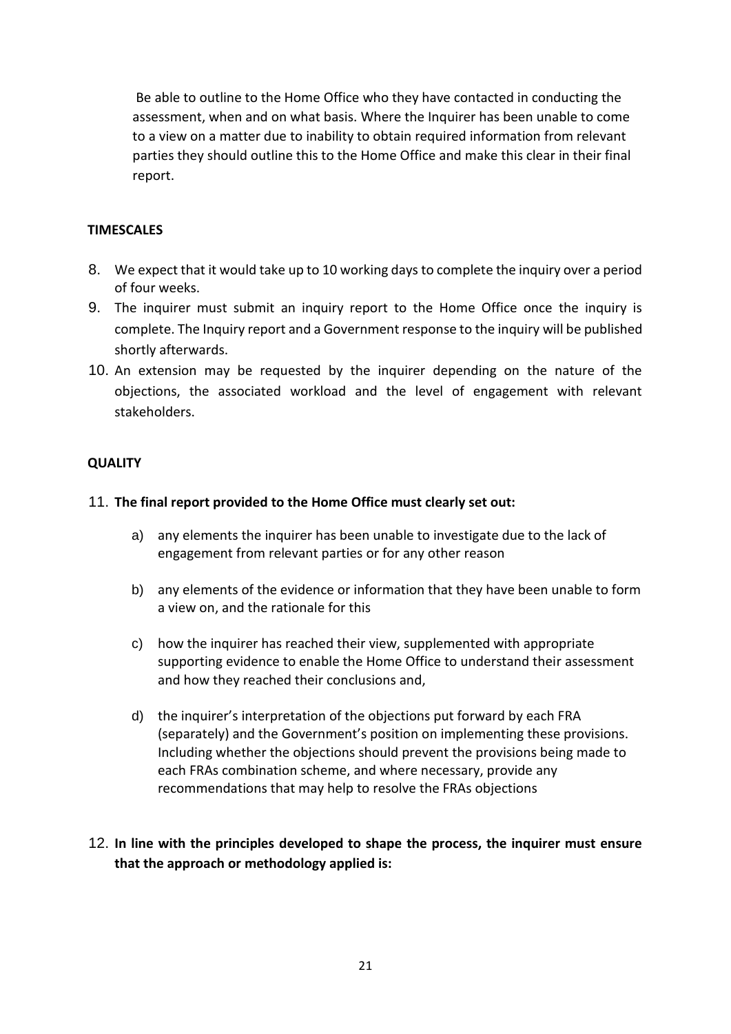Be able to outline to the Home Office who they have contacted in conducting the assessment, when and on what basis. Where the Inquirer has been unable to come to a view on a matter due to inability to obtain required information from relevant parties they should outline this to the Home Office and make this clear in their final report.

## **TIMESCALES**

- 8. We expect that it would take up to 10 working days to complete the inquiry over a period of four weeks.
- 9. The inquirer must submit an inquiry report to the Home Office once the inquiry is complete. The Inquiry report and a Government response to the inquiry will be published shortly afterwards.
- 10. An extension may be requested by the inquirer depending on the nature of the objections, the associated workload and the level of engagement with relevant stakeholders.

### **QUALITY**

## 11. **The final report provided to the Home Office must clearly set out:**

- a) any elements the inquirer has been unable to investigate due to the lack of engagement from relevant parties or for any other reason
- b) any elements of the evidence or information that they have been unable to form a view on, and the rationale for this
- c) how the inquirer has reached their view, supplemented with appropriate supporting evidence to enable the Home Office to understand their assessment and how they reached their conclusions and,
- d) the inquirer's interpretation of the objections put forward by each FRA (separately) and the Government's position on implementing these provisions. Including whether the objections should prevent the provisions being made to each FRAs combination scheme, and where necessary, provide any recommendations that may help to resolve the FRAs objections
- 12. **In line with the principles developed to shape the process, the inquirer must ensure that the approach or methodology applied is:**